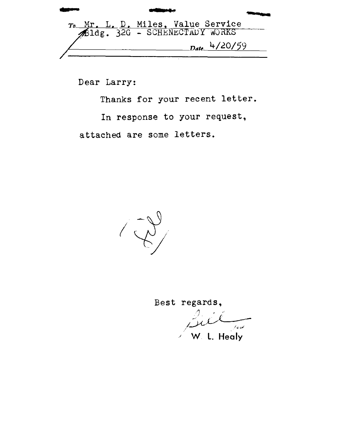D. Miles, Value Service<br>2G - SCHENECTADY WORKS  $_{Date}$  4/20/59

Dear Larry:

Thanks for your recent letter.

In response to your request,

attached are some letters.



Best regards,

لمدير ا

W. L. Healy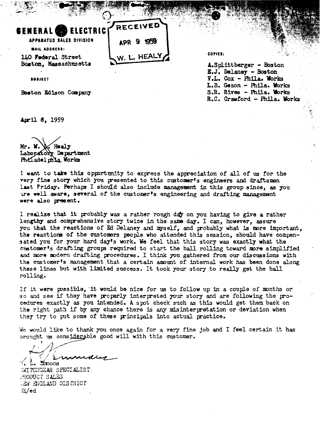| <b>SENERAL ELECTRICY RECEIVED</b> |            |
|-----------------------------------|------------|
| APPARATUS SALES DIVISION          | APR 9 1959 |
| <b>MAIL ADDRESS:</b>              |            |
| 140 Federal Street                | W L HEALY  |

40 **Podoral** Street Boston, Massachusetts **A.**Splittberger - Boston

r: = **;c** > .\_\*; \* **.,::F& 3** - . #- **;c-.-** 

COPIES:

**E.J. Delaney** - **Boston SYIJCCT V.L. Cox** - **Phila.** Yorka **L.B. Gown** - **Phila.** Works **baton Edison Company** S.R. Rives - Phila. Works R.C. Crawford - Phila. **krks** 

?

**Wil 8, 1959** 

Healy Mr. W. Laboratory Department Philadel phia Works

I want to take this opportunity to express the appreciation of all of us for the very fine story which you presented to this customer's engineers and draftsmen last Friday. Perhaps I should also include management in this group since, as you are well aware, several of the customer's engineering and drafting management **ware** dso **p.ssent.** 

I realize that it probably was a rather rough **d&** on you having to give a rather lengthy and comprehensive story twice in the same day. I can, however, assure you **that** the reactions of **Ed** Delaney **and** qyself, and irobably what **is** mre imprtant, the reactions of the customers people who attended this session, should have compen**sated** you for **your** hard day's work. We feel that this story **was exactly** what the customer's drafting groups required to start the ball rolling toward more simplified and more modern drafting procedures. I think you gathered from our discussions with the customerts management that a certain amunt of internal work **has been** done along **these** lines but with limited success. It took your story to really get the ball rolling.

If it **were possible,** 'it would be nice for us to follow up in a couple of mnths or so and see **Ff** they **have** poprly interpreted your story and **are** following the pro**cedures** exactly as yon intended. A spot check such **as this** would get them back on the right path if by **any** chance there is any misinterpretation or deviation when they try to put some of these principals into actual practice.

**;ie wodd** like to thank **you** once again for a vexy fine job and I feel certain it has brought us considerable good will with this customer.

Emmons

 $\ddot{\;}$  ) in TCHGEAR SPECIALIST .?ZODUCT SALS **6 ANGLAND DISTRICT Z/ed**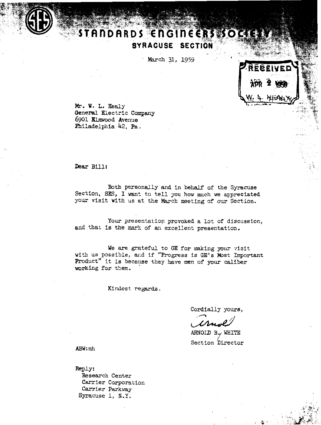

## TANDARDS ENGINEERS SOC SYRACUSE SECTION

March 31, 1959



Mr. W. L. Healy General Electric Company 6901 Elmwood Avenue Philadelphia 42, Pa.

Dear Bill:

Both personally and in behalf of the Syracuse Section, SES, I want to tell you how much we appreciated your visit with us at the March meeting of our Section.

Your presentation provoked a lot of discussion, and that is the mark of an excellent presentation.

We are grateful to GE for making your visit with us possible, and if "Progress is GE's Most Important Product" it is because they have men of your caliber working for them.

Kindest regards.

Cordially yours,

ARNOID B./ WHITE Section Director

ABW: mh

Reply: Research Center Carrier Corporation Carrier Parkway Syracuse 1, N.Y.